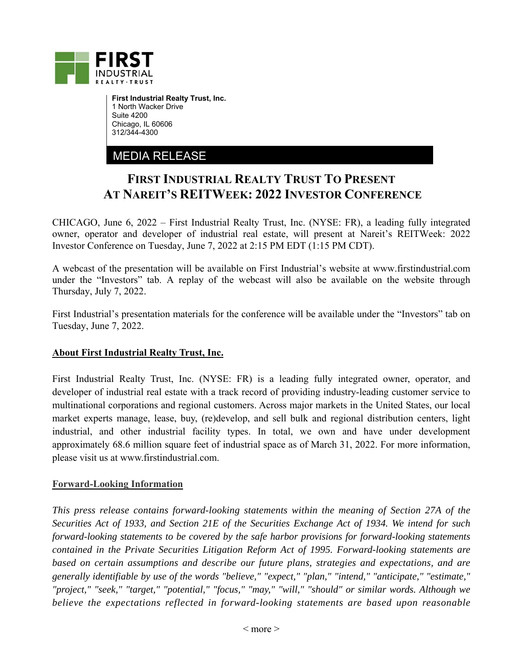

**First Industrial Realty Trust, Inc.**  1 North Wacker Drive Suite 4200 Chicago, IL 60606 312/344-4300

MEDIA RELEASE

## **FIRST INDUSTRIAL REALTY TRUST TO PRESENT AT NAREIT'S REITWEEK: 2022 INVESTOR CONFERENCE**

CHICAGO, June 6, 2022 – First Industrial Realty Trust, Inc. (NYSE: FR), a leading fully integrated owner, operator and developer of industrial real estate, will present at Nareit's REITWeek: 2022 Investor Conference on Tuesday, June 7, 2022 at 2:15 PM EDT (1:15 PM CDT).

A webcast of the presentation will be available on First Industrial's website at www.firstindustrial.com under the "Investors" tab. A replay of the webcast will also be available on the website through Thursday, July 7, 2022.

First Industrial's presentation materials for the conference will be available under the "Investors" tab on Tuesday, June 7, 2022.

## **About First Industrial Realty Trust, Inc.**

First Industrial Realty Trust, Inc. (NYSE: FR) is a leading fully integrated owner, operator, and developer of industrial real estate with a track record of providing industry-leading customer service to multinational corporations and regional customers. Across major markets in the United States, our local market experts manage, lease, buy, (re)develop, and sell bulk and regional distribution centers, light industrial, and other industrial facility types. In total, we own and have under development approximately 68.6 million square feet of industrial space as of March 31, 2022. For more information, please visit us at www.firstindustrial.com.

## **Forward-Looking Information**

*This press release contains forward-looking statements within the meaning of Section 27A of the Securities Act of 1933, and Section 21E of the Securities Exchange Act of 1934. We intend for such forward-looking statements to be covered by the safe harbor provisions for forward-looking statements contained in the Private Securities Litigation Reform Act of 1995. Forward-looking statements are based on certain assumptions and describe our future plans, strategies and expectations, and are generally identifiable by use of the words "believe," "expect," "plan," "intend," "anticipate," "estimate," "project," "seek," "target," "potential," "focus," "may," "will," "should" or similar words. Although we believe the expectations reflected in forward-looking statements are based upon reasonable*